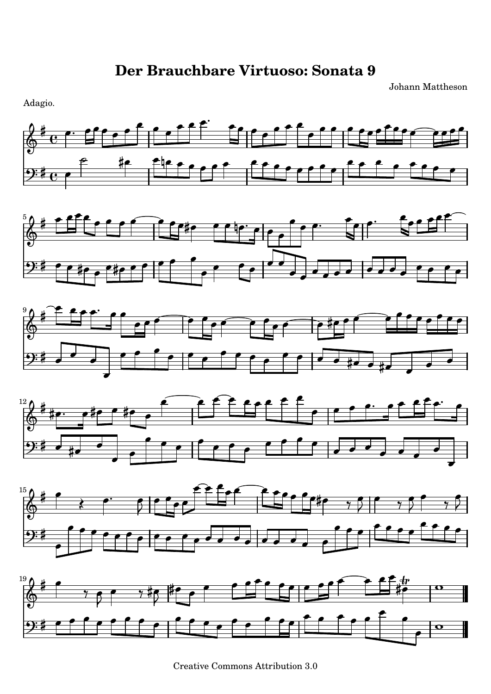Johann Mattheson

Adagio.













Creative Commons Attribution 3.0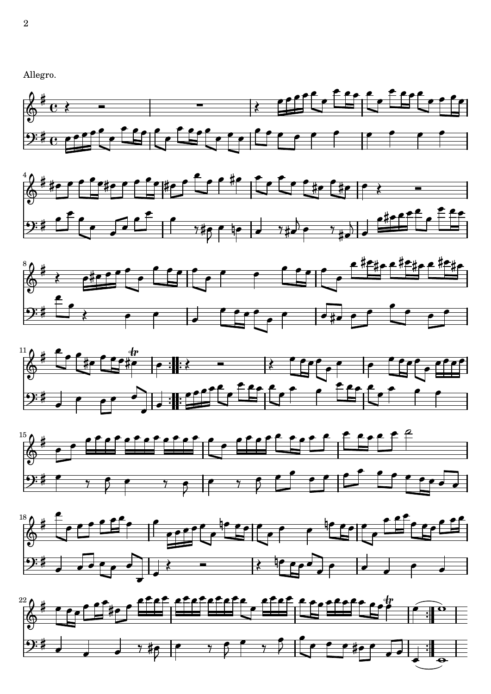













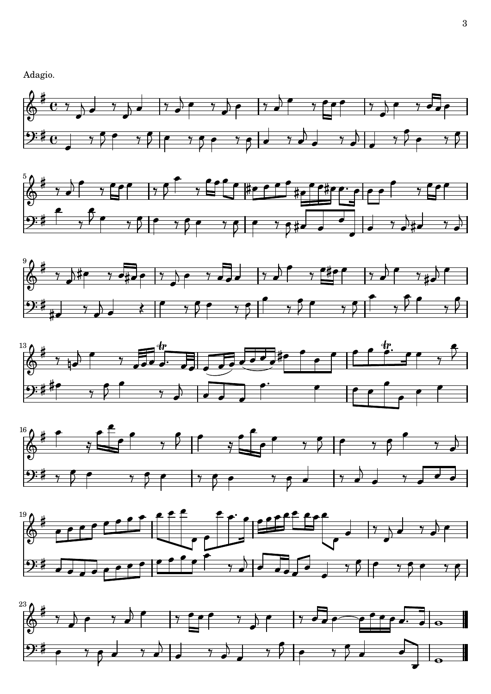Adagio.